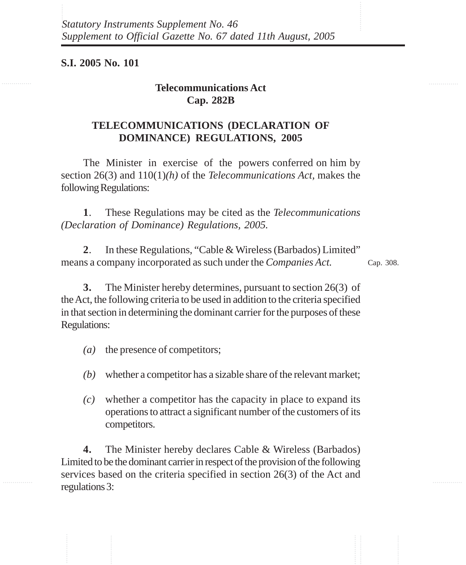**S.I. 2005 No. 101**

## **Telecommunications Act Cap. 282B**

## **TELECOMMUNICATIONS (DECLARATION OF DOMINANCE) REGULATIONS, 2005**

The Minister in exercise of the powers conferred on him by section 26(3) and 110(1)*(h)* of the *Telecommunications Act,* makes the following Regulations:

**1**. These Regulations may be cited as the *Telecommunications (Declaration of Dominance) Regulations, 2005.*

**2**. In these Regulations, "Cable & Wireless (Barbados) Limited" means a company incorporated as such under the *Companies Act.*

Cap. 308.

**3.** The Minister hereby determines, pursuant to section 26(3) of the Act, the following criteria to be used in addition to the criteria specified in that section in determining the dominant carrier for the purposes of these Regulations:

- *(a)* the presence of competitors;
- *(b)* whether a competitor has a sizable share of the relevant market;
- *(c)* whether a competitor has the capacity in place to expand its operations to attract a significant number of the customers of its competitors.

**4.** The Minister hereby declares Cable & Wireless (Barbados) Limited to be the dominant carrier in respect of the provision of the following services based on the criteria specified in section 26(3) of the Act and regulations 3: